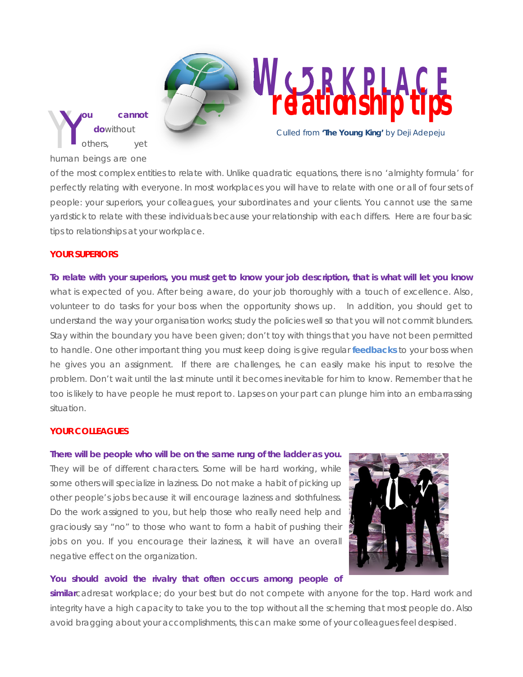Y **ou cannot do**without others, yet human beings are one Y

**WRKPLACE relationship tips**

*Culled from* **'The Young King'** *by* Deji Adepeju

of the most complex entities to relate with. Unlike quadratic equations, there is no 'almighty formula' for perfectly relating with everyone. In most workplaces you will have to relate with one or all of four sets of people: your superiors, your colleagues, your subordinates and your clients. You cannot use the same yardstick to relate with these individuals because your relationship with each differs. Here are four basic tips to relationships at your workplace.

# **YOUR SUPERIORS**

**To relate with your superiors, you must get to know your job description, that is what will let you know** what is expected of you. After being aware, do your job thoroughly with a touch of excellence. Also, volunteer to do tasks for your boss when the opportunity shows up. In addition, you should get to understand the way your organisation works; study the policies well so that you will not commit blunders. Stay within the boundary you have been given; don't toy with things that you have not been permitted to handle. One other important thing you must keep doing is give regular **[feedbacks](http://www.jessethrust.com/7-guidelines-to-enhancing-your-competence-as-a-fresh-graduate.pdf)** to your boss when he gives you an assignment. If there are challenges, he can easily make his input to resolve the problem. Don't wait until the last minute until it becomes inevitable for him to know. Remember that he too is likely to have people he must report to. Lapses on your part can plunge him into an embarrassing situation.

## **YOUR COLLEAGUES**

**There will be people who will be on the same rung of the ladder as you.** They will be of different characters. Some will be hard working, while some others will specialize in laziness. Do not make a habit of picking up other people's jobs because it will encourage laziness and slothfulness. Do the work assigned to you, but help those who really need help and graciously say "no" to those who want to form a habit of pushing their jobs on you. If you encourage their laziness, it will have an overall negative effect on the organization.



## **You should avoid the rivalry that often occurs among people of**

**similar**cadresat workplace; do your best but do not compete with anyone for the top. Hard work and integrity have a high capacity to take you to the top without all the scheming that most people do. Also avoid bragging about your accomplishments, this can make some of your colleagues feel despised.